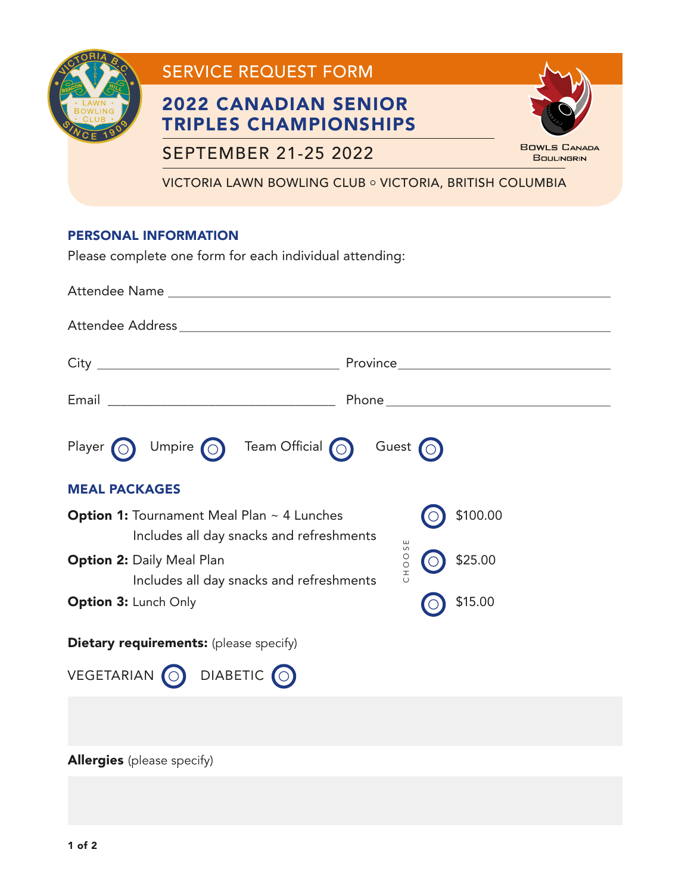|                                  | <b>SERVICE REQUEST FORM</b>                                                                   |                      |                                  |
|----------------------------------|-----------------------------------------------------------------------------------------------|----------------------|----------------------------------|
|                                  | <b>2022 CANADIAN SENIOR</b><br><b>TRIPLES CHAMPIONSHIPS</b>                                   |                      |                                  |
|                                  | <b>SEPTEMBER 21-25 2022</b>                                                                   |                      | <b>BOWLS CANADA</b><br>Bouyngrin |
|                                  | VICTORIA LAWN BOWLING CLUB · VICTORIA, BRITISH COLUMBIA                                       |                      |                                  |
| <b>PERSONAL INFORMATION</b>      |                                                                                               |                      |                                  |
|                                  | Please complete one form for each individual attending:                                       |                      |                                  |
|                                  |                                                                                               |                      |                                  |
|                                  |                                                                                               |                      |                                  |
|                                  |                                                                                               |                      |                                  |
|                                  |                                                                                               |                      |                                  |
| <b>MEAL PACKAGES</b>             | Player $\bigodot$ Umpire $\bigodot$ Team Official $\bigodot$                                  | Guest $\bigodot$     |                                  |
|                                  | <b>Option 1: Tournament Meal Plan ~ 4 Lunches</b><br>Includes all day snacks and refreshments | \$100.00<br>ш        |                                  |
| <b>Option 2: Daily Meal Plan</b> | Includes all day snacks and refreshments                                                      | S<br>CHOO<br>\$25.00 |                                  |
| <b>Option 3: Lunch Only</b>      |                                                                                               | \$15.00              |                                  |
|                                  | Dietary requirements: (please specify)                                                        |                      |                                  |
| VEGETARIAN O                     | DIABETIC <sup>(O)</sup>                                                                       |                      |                                  |
|                                  |                                                                                               |                      |                                  |
|                                  |                                                                                               |                      |                                  |